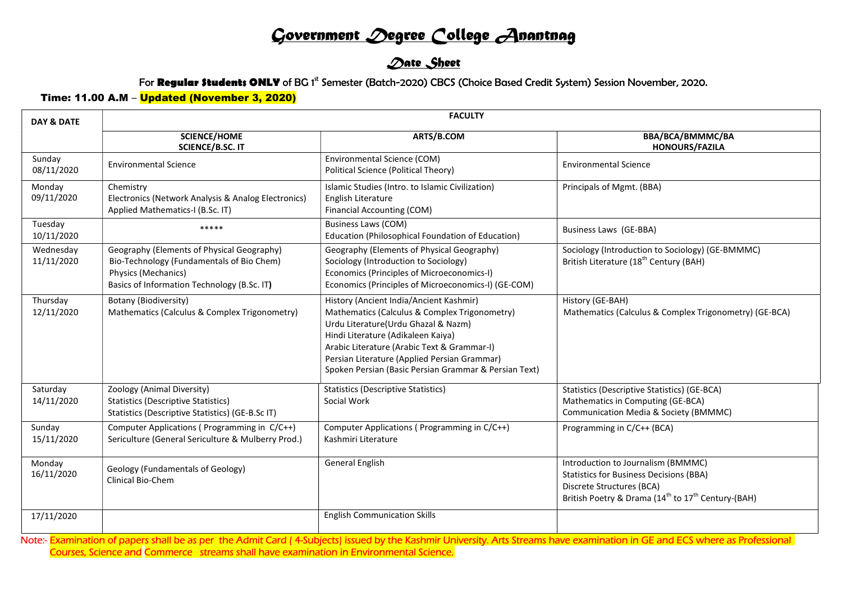# Government Degree College Anantnag

## **Date Sheet**

#### For Regular Students ONLY of BG 1<sup>st</sup> Semester (Batch-2020) CBCS (Choice Based Credit System) Session November, 2020.

### Time: 11.00 A.M – Updated (November 3, 2020)

| <b>DAY &amp; DATE</b>   | <b>FACULTY</b>                                                                                                                                                |                                                                                                                                                                                                                                                                                                                               |                                                                                                                                                                                                 |  |  |  |
|-------------------------|---------------------------------------------------------------------------------------------------------------------------------------------------------------|-------------------------------------------------------------------------------------------------------------------------------------------------------------------------------------------------------------------------------------------------------------------------------------------------------------------------------|-------------------------------------------------------------------------------------------------------------------------------------------------------------------------------------------------|--|--|--|
|                         | <b>SCIENCE/HOME</b><br><b>SCIENCE/B.SC. IT</b>                                                                                                                | ARTS/B.COM                                                                                                                                                                                                                                                                                                                    | BBA/BCA/BMMMC/BA<br><b>HONOURS/FAZILA</b>                                                                                                                                                       |  |  |  |
| Sunday<br>08/11/2020    | <b>Environmental Science</b>                                                                                                                                  | Environmental Science (COM)<br>Political Science (Political Theory)                                                                                                                                                                                                                                                           | <b>Environmental Science</b>                                                                                                                                                                    |  |  |  |
| Monday<br>09/11/2020    | Chemistry<br>Electronics (Network Analysis & Analog Electronics)<br>Applied Mathematics-I (B.Sc. IT)                                                          | Islamic Studies (Intro. to Islamic Civilization)<br>English Literature<br>Financial Accounting (COM)                                                                                                                                                                                                                          | Principals of Mgmt. (BBA)                                                                                                                                                                       |  |  |  |
| Tuesday<br>10/11/2020   | *****                                                                                                                                                         | <b>Business Laws (COM)</b><br>Education (Philosophical Foundation of Education)                                                                                                                                                                                                                                               | Business Laws (GE-BBA)                                                                                                                                                                          |  |  |  |
| Wednesday<br>11/11/2020 | Geography (Elements of Physical Geography)<br>Bio-Technology (Fundamentals of Bio Chem)<br>Physics (Mechanics)<br>Basics of Information Technology (B.Sc. IT) | Geography (Elements of Physical Geography)<br>Sociology (Introduction to Sociology)<br>Economics (Principles of Microeconomics-I)<br>Economics (Principles of Microeconomics-I) (GE-COM)                                                                                                                                      | Sociology (Introduction to Sociology) (GE-BMMMC)<br>British Literature (18 <sup>th</sup> Century (BAH)                                                                                          |  |  |  |
| Thursday<br>12/11/2020  | Botany (Biodiversity)<br>Mathematics (Calculus & Complex Trigonometry)                                                                                        | History (Ancient India/Ancient Kashmir)<br>Mathematics (Calculus & Complex Trigonometry)<br>Urdu Literature(Urdu Ghazal & Nazm)<br>Hindi Literature (Adikaleen Kaiya)<br>Arabic Literature (Arabic Text & Grammar-I)<br>Persian Literature (Applied Persian Grammar)<br>Spoken Persian (Basic Persian Grammar & Persian Text) | History (GE-BAH)<br>Mathematics (Calculus & Complex Trigonometry) (GE-BCA)                                                                                                                      |  |  |  |
| Saturday<br>14/11/2020  | Zoology (Animal Diversity)<br><b>Statistics (Descriptive Statistics)</b><br>Statistics (Descriptive Statistics) (GE-B.Sc IT)                                  | <b>Statistics (Descriptive Statistics)</b><br>Social Work                                                                                                                                                                                                                                                                     | Statistics (Descriptive Statistics) (GE-BCA)<br>Mathematics in Computing (GE-BCA)<br>Communication Media & Society (BMMMC)                                                                      |  |  |  |
| Sunday<br>15/11/2020    | Computer Applications (Programming in C/C++)<br>Sericulture (General Sericulture & Mulberry Prod.)                                                            | Computer Applications (Programming in C/C++)<br>Kashmiri Literature                                                                                                                                                                                                                                                           | Programming in C/C++ (BCA)                                                                                                                                                                      |  |  |  |
| Monday<br>16/11/2020    | Geology (Fundamentals of Geology)<br>Clinical Bio-Chem                                                                                                        | <b>General English</b>                                                                                                                                                                                                                                                                                                        | Introduction to Journalism (BMMMC)<br><b>Statistics for Business Decisions (BBA)</b><br>Discrete Structures (BCA)<br>British Poetry & Drama (14 <sup>th</sup> to 17 <sup>th</sup> Century-(BAH) |  |  |  |
| 17/11/2020              |                                                                                                                                                               | <b>English Communication Skills</b>                                                                                                                                                                                                                                                                                           |                                                                                                                                                                                                 |  |  |  |

Note:- Examination of papers shall be as per the Admit Card (4-Subjects) issued by the Kashmir University. Arts Streams have examination in GE and ECS where as Professional Courses, Science and Commerce streams shall have examination in Environmental Science.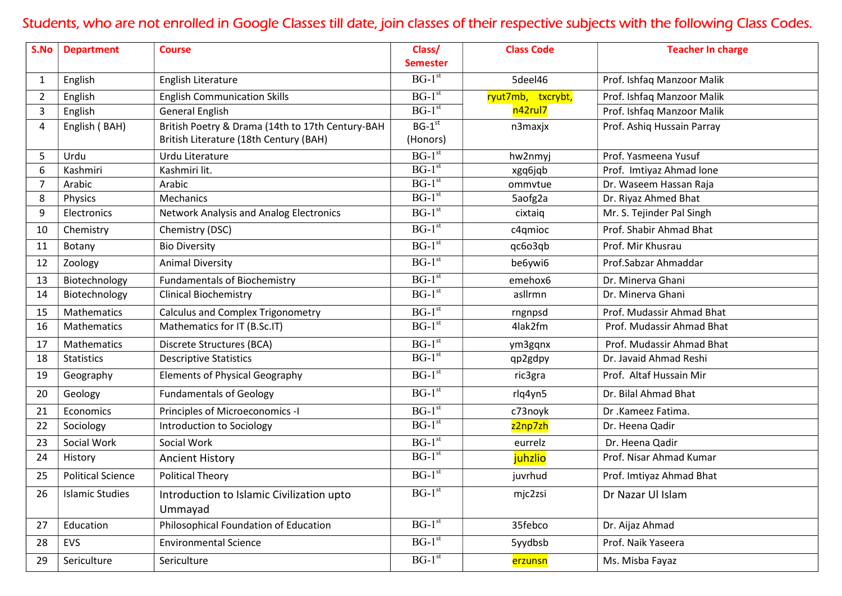# Students, who are not enrolled in Google Classes till date, join classes of their respective subjects with the following Class Codes.

| S.No           | <b>Department</b>        | <b>Course</b>                                        | Class/<br><b>Semester</b> | <b>Class Code</b> | <b>Teacher In charge</b>   |
|----------------|--------------------------|------------------------------------------------------|---------------------------|-------------------|----------------------------|
| 1              | English                  | English Literature                                   | $BG-1st$                  | 5deel46           | Prof. Ishfaq Manzoor Malik |
| $\overline{2}$ | English                  | <b>English Communication Skills</b>                  | $BG-1^{st}$               | ryut7mb, txcrybt, | Prof. Ishfaq Manzoor Malik |
| 3              | English                  | <b>General English</b>                               | $BG-1st$                  | n42rul7           | Prof. Ishfaq Manzoor Malik |
| 4              | English (BAH)            | British Poetry & Drama (14th to 17th Century-BAH     | $BG-1^{st}$               | n3maxjx           | Prof. Ashiq Hussain Parray |
|                |                          | British Literature (18th Century (BAH)               | (Honors)                  |                   |                            |
| 5              | Urdu                     | Urdu Literature                                      | $BG-1st$                  | hw2nmyj           | Prof. Yasmeena Yusuf       |
| 6              | Kashmiri                 | Kashmiri lit.                                        | $BG-1^{st}$               | xgq6jqb           | Prof. Imtiyaz Ahmad lone   |
| 7              | Arabic                   | Arabic                                               | $BG-1st$                  | ommvtue           | Dr. Waseem Hassan Raja     |
| 8              | Physics                  | Mechanics                                            | $BG-1st$                  | 5aofg2a           | Dr. Riyaz Ahmed Bhat       |
| 9              | Electronics              | Network Analysis and Analog Electronics              | $BG-1^{st}$               | cixtaiq           | Mr. S. Tejinder Pal Singh  |
| 10             | Chemistry                | Chemistry (DSC)                                      | $BG-1st$                  | c4qmioc           | Prof. Shabir Ahmad Bhat    |
| 11             | Botany                   | <b>Bio Diversity</b>                                 | $BG-1st$                  | qc6o3qb           | Prof. Mir Khusrau          |
| 12             | Zoology                  | <b>Animal Diversity</b>                              | $BG-1st$                  | be6ywi6           | Prof.Sabzar Ahmaddar       |
| 13             | Biotechnology            | <b>Fundamentals of Biochemistry</b>                  | $BG-1st$                  | emehox6           | Dr. Minerva Ghani          |
| 14             | Biotechnology            | <b>Clinical Biochemistry</b>                         | $BG-1st$                  | asllrmn           | Dr. Minerva Ghani          |
| 15             | Mathematics              | <b>Calculus and Complex Trigonometry</b>             | $BG-1^{st}$               | rngnpsd           | Prof. Mudassir Ahmad Bhat  |
| 16             | <b>Mathematics</b>       | Mathematics for IT (B.Sc.IT)                         | $BG-1^{st}$               | 4lak2fm           | Prof. Mudassir Ahmad Bhat  |
| 17             | Mathematics              | Discrete Structures (BCA)                            | $BG-1st$                  | ym3gqnx           | Prof. Mudassir Ahmad Bhat  |
| 18             | <b>Statistics</b>        | <b>Descriptive Statistics</b>                        | $BG-1st$                  | qp2gdpy           | Dr. Javaid Ahmad Reshi     |
| 19             | Geography                | <b>Elements of Physical Geography</b>                | $BG-1st$                  | ric3gra           | Prof. Altaf Hussain Mir    |
| 20             | Geology                  | <b>Fundamentals of Geology</b>                       | $BG-1st$                  | rlq4yn5           | Dr. Bilal Ahmad Bhat       |
| 21             | Economics                | Principles of Microeconomics -I                      | $BG-1^{st}$               | c73noyk           | Dr .Kameez Fatima.         |
| 22             | Sociology                | Introduction to Sociology                            | $BG-1^{st}$               | z2np7zh           | Dr. Heena Qadir            |
| 23             | Social Work              | Social Work                                          | $BG-1st$                  | eurrelz           | Dr. Heena Qadir            |
| 24             | History                  | <b>Ancient History</b>                               | $BG-1st$                  | juhzlio           | Prof. Nisar Ahmad Kumar    |
| 25             | <b>Political Science</b> | <b>Political Theory</b>                              | $BG-1st$                  | juvrhud           | Prof. Imtiyaz Ahmad Bhat   |
| 26             | <b>Islamic Studies</b>   | Introduction to Islamic Civilization upto<br>Ummayad | $BG-1st$                  | mjc2zsi           | Dr Nazar Ul Islam          |
| 27             | Education                | Philosophical Foundation of Education                | $BG-1st$                  | 35febco           | Dr. Aijaz Ahmad            |
| 28             | <b>EVS</b>               | <b>Environmental Science</b>                         | $BG-1st$                  | 5yydbsb           | Prof. Naik Yaseera         |
| 29             | Sericulture              | Sericulture                                          | $BG-1st$                  | erzunsn           | Ms. Misba Fayaz            |